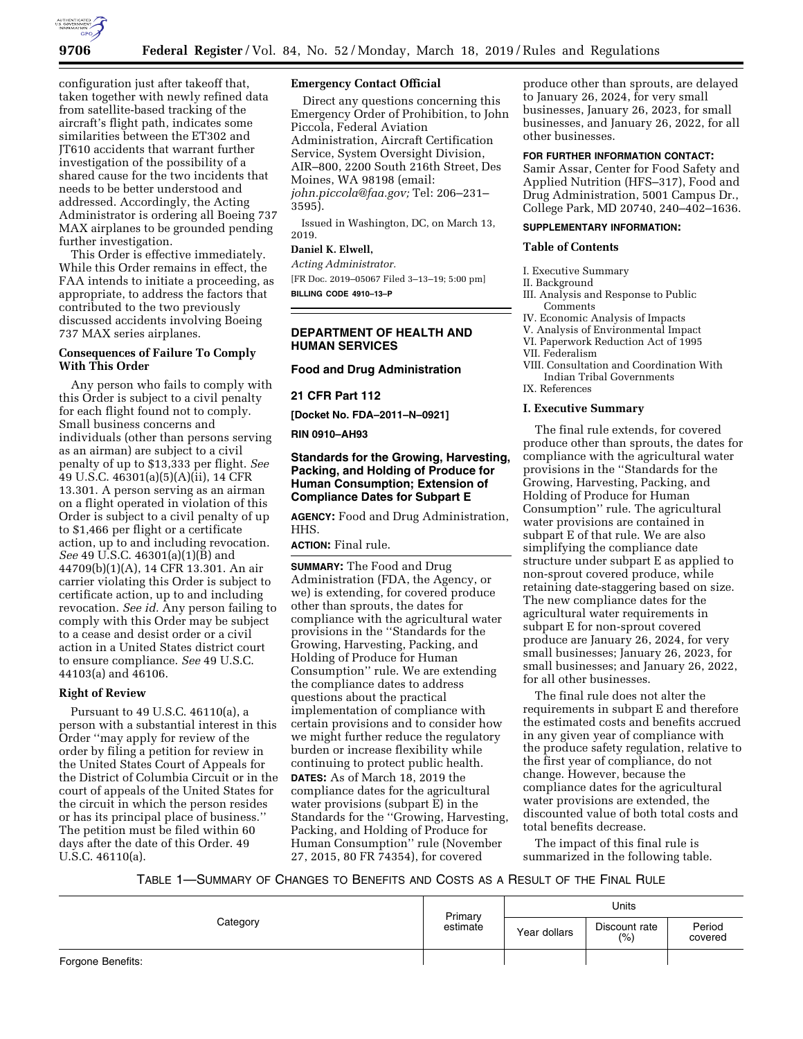

configuration just after takeoff that, taken together with newly refined data from satellite-based tracking of the aircraft's flight path, indicates some similarities between the ET302 and JT610 accidents that warrant further investigation of the possibility of a shared cause for the two incidents that needs to be better understood and addressed. Accordingly, the Acting Administrator is ordering all Boeing 737 MAX airplanes to be grounded pending further investigation.

This Order is effective immediately. While this Order remains in effect, the FAA intends to initiate a proceeding, as appropriate, to address the factors that contributed to the two previously discussed accidents involving Boeing 737 MAX series airplanes.

## **Consequences of Failure To Comply With This Order**

Any person who fails to comply with this Order is subject to a civil penalty for each flight found not to comply. Small business concerns and individuals (other than persons serving as an airman) are subject to a civil penalty of up to \$13,333 per flight. *See*  49 U.S.C. 46301(a)(5)(A)(ii), 14 CFR 13.301. A person serving as an airman on a flight operated in violation of this Order is subject to a civil penalty of up to \$1,466 per flight or a certificate action, up to and including revocation. *See* 49 U.S.C. 46301(a)(1)(B) and 44709(b)(1)(A), 14 CFR 13.301. An air carrier violating this Order is subject to certificate action, up to and including revocation. *See id.* Any person failing to comply with this Order may be subject to a cease and desist order or a civil action in a United States district court to ensure compliance. *See* 49 U.S.C. 44103(a) and 46106.

## **Right of Review**

Pursuant to 49 U.S.C. 46110(a), a person with a substantial interest in this Order ''may apply for review of the order by filing a petition for review in the United States Court of Appeals for the District of Columbia Circuit or in the court of appeals of the United States for the circuit in which the person resides or has its principal place of business.'' The petition must be filed within 60 days after the date of this Order. 49 U.S.C. 46110(a).

### **Emergency Contact Official**

Direct any questions concerning this Emergency Order of Prohibition, to John Piccola, Federal Aviation Administration, Aircraft Certification Service, System Oversight Division, AIR–800, 2200 South 216th Street, Des Moines, WA 98198 (email: *john.piccola@faa.gov;* Tel: 206–231– 3595).

Issued in Washington, DC, on March 13, 2019.

## **Daniel K. Elwell,**

*Acting Administrator.* 

[FR Doc. 2019–05067 Filed 3–13–19; 5:00 pm] **BILLING CODE 4910–13–P** 

## **DEPARTMENT OF HEALTH AND HUMAN SERVICES**

### **Food and Drug Administration**

### **21 CFR Part 112**

**[Docket No. FDA–2011–N–0921]** 

## **RIN 0910–AH93**

## **Standards for the Growing, Harvesting, Packing, and Holding of Produce for Human Consumption; Extension of Compliance Dates for Subpart E**

**AGENCY:** Food and Drug Administration, HHS.

# **ACTION:** Final rule.

**SUMMARY:** The Food and Drug Administration (FDA, the Agency, or we) is extending, for covered produce other than sprouts, the dates for compliance with the agricultural water provisions in the ''Standards for the Growing, Harvesting, Packing, and Holding of Produce for Human Consumption'' rule. We are extending the compliance dates to address questions about the practical implementation of compliance with certain provisions and to consider how we might further reduce the regulatory burden or increase flexibility while continuing to protect public health. **DATES:** As of March 18, 2019 the compliance dates for the agricultural water provisions (subpart E) in the Standards for the ''Growing, Harvesting, Packing, and Holding of Produce for Human Consumption'' rule (November 27, 2015, 80 FR 74354), for covered

produce other than sprouts, are delayed to January 26, 2024, for very small businesses, January 26, 2023, for small businesses, and January 26, 2022, for all other businesses.

#### **FOR FURTHER INFORMATION CONTACT:**

Samir Assar, Center for Food Safety and Applied Nutrition (HFS–317), Food and Drug Administration, 5001 Campus Dr., College Park, MD 20740, 240–402–1636.

### **SUPPLEMENTARY INFORMATION:**

### **Table of Contents**

I. Executive Summary

#### II. Background

- III. Analysis and Response to Public Comments
- IV. Economic Analysis of Impacts
- V. Analysis of Environmental Impact
- VI. Paperwork Reduction Act of 1995
- VII. Federalism
- VIII. Consultation and Coordination With Indian Tribal Governments
- IX. References

### **I. Executive Summary**

The final rule extends, for covered produce other than sprouts, the dates for compliance with the agricultural water provisions in the ''Standards for the Growing, Harvesting, Packing, and Holding of Produce for Human Consumption'' rule. The agricultural water provisions are contained in subpart E of that rule. We are also simplifying the compliance date structure under subpart E as applied to non-sprout covered produce, while retaining date-staggering based on size. The new compliance dates for the agricultural water requirements in subpart E for non-sprout covered produce are January 26, 2024, for very small businesses; January 26, 2023, for small businesses; and January 26, 2022, for all other businesses.

The final rule does not alter the requirements in subpart E and therefore the estimated costs and benefits accrued in any given year of compliance with the produce safety regulation, relative to the first year of compliance, do not change. However, because the compliance dates for the agricultural water provisions are extended, the discounted value of both total costs and total benefits decrease.

The impact of this final rule is summarized in the following table.

## TABLE 1—SUMMARY OF CHANGES TO BENEFITS AND COSTS AS A RESULT OF THE FINAL RULE

|                   | Primary<br>estimate | Units        |                       |                   |  |
|-------------------|---------------------|--------------|-----------------------|-------------------|--|
| Category          |                     | Year dollars | Discount rate<br>(% ) | Period<br>covered |  |
| Forgone Benefits: |                     |              |                       |                   |  |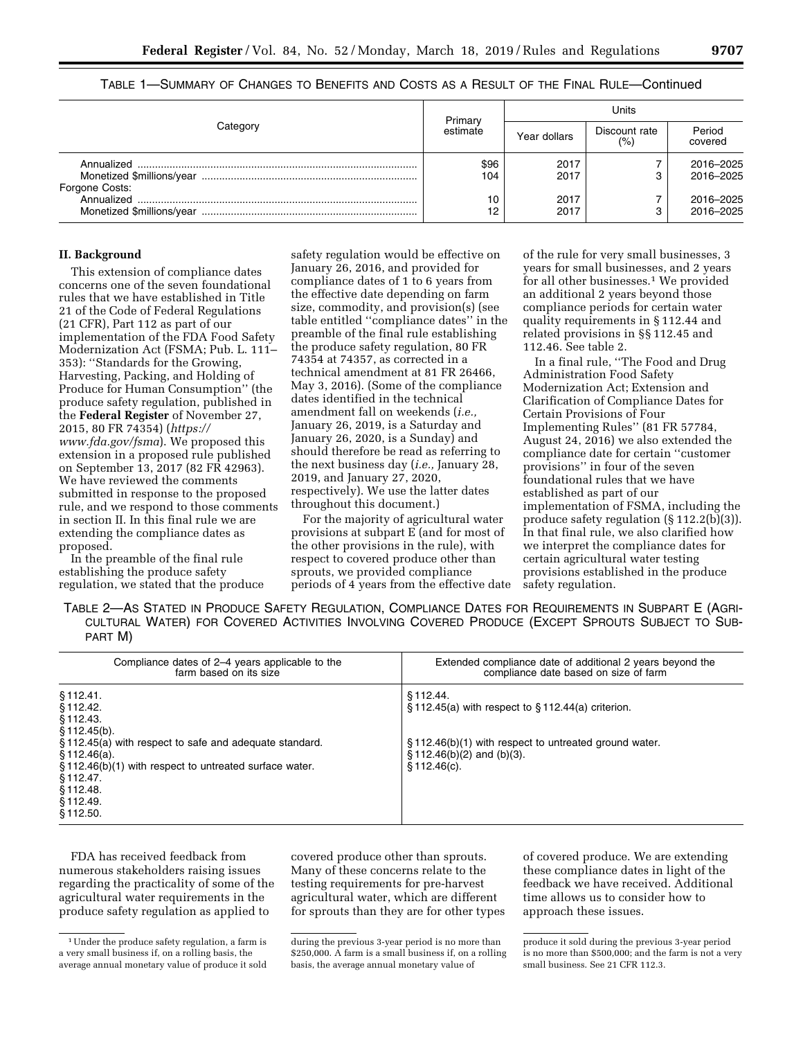|                              | Primary     | Units        |                      |                        |  |
|------------------------------|-------------|--------------|----------------------|------------------------|--|
| Category                     | estimate    | Year dollars | Discount rate<br>(%) | Period<br>covered      |  |
|                              | \$96<br>104 | 2017<br>2017 |                      | 2016-2025<br>2016-2025 |  |
| Forgone Costs:<br>Annualized | 10<br>12    | 2017<br>2017 |                      | 2016-2025<br>2016-2025 |  |

## TABLE 1—SUMMARY OF CHANGES TO BENEFITS AND COSTS AS A RESULT OF THE FINAL RULE—Continued

### **II. Background**

This extension of compliance dates concerns one of the seven foundational rules that we have established in Title 21 of the Code of Federal Regulations (21 CFR), Part 112 as part of our implementation of the FDA Food Safety Modernization Act (FSMA; Pub. L. 111– 353): ''Standards for the Growing, Harvesting, Packing, and Holding of Produce for Human Consumption'' (the produce safety regulation, published in the **Federal Register** of November 27, 2015, 80 FR 74354) (*https:// www.fda.gov/fsma*). We proposed this extension in a proposed rule published on September 13, 2017 (82 FR 42963). We have reviewed the comments submitted in response to the proposed rule, and we respond to those comments in section II. In this final rule we are extending the compliance dates as proposed.

In the preamble of the final rule establishing the produce safety regulation, we stated that the produce

safety regulation would be effective on January 26, 2016, and provided for compliance dates of 1 to 6 years from the effective date depending on farm size, commodity, and provision(s) (see table entitled ''compliance dates'' in the preamble of the final rule establishing the produce safety regulation, 80 FR 74354 at 74357, as corrected in a technical amendment at 81 FR 26466, May 3, 2016). (Some of the compliance dates identified in the technical amendment fall on weekends (*i.e.,*  January 26, 2019, is a Saturday and January 26, 2020, is a Sunday) and should therefore be read as referring to the next business day (*i.e.,* January 28, 2019, and January 27, 2020, respectively). We use the latter dates throughout this document.)

For the majority of agricultural water provisions at subpart E (and for most of the other provisions in the rule), with respect to covered produce other than sprouts, we provided compliance periods of 4 years from the effective date

of the rule for very small businesses, 3 years for small businesses, and 2 years for all other businesses.<sup>1</sup> We provided an additional 2 years beyond those compliance periods for certain water quality requirements in § 112.44 and related provisions in §§ 112.45 and 112.46. See table 2.

In a final rule, ''The Food and Drug Administration Food Safety Modernization Act; Extension and Clarification of Compliance Dates for Certain Provisions of Four Implementing Rules'' (81 FR 57784, August 24, 2016) we also extended the compliance date for certain ''customer provisions'' in four of the seven foundational rules that we have established as part of our implementation of FSMA, including the produce safety regulation (§ 112.2(b)(3)). In that final rule, we also clarified how we interpret the compliance dates for certain agricultural water testing provisions established in the produce safety regulation.

TABLE 2—AS STATED IN PRODUCE SAFETY REGULATION, COMPLIANCE DATES FOR REQUIREMENTS IN SUBPART E (AGRI-CULTURAL WATER) FOR COVERED ACTIVITIES INVOLVING COVERED PRODUCE (EXCEPT SPROUTS SUBJECT TO SUB-PART M)

| Compliance dates of 2–4 years applicable to the                                                                                                                                                                                       | Extended compliance date of additional 2 years beyond the                                                                                                                             |
|---------------------------------------------------------------------------------------------------------------------------------------------------------------------------------------------------------------------------------------|---------------------------------------------------------------------------------------------------------------------------------------------------------------------------------------|
| farm based on its size                                                                                                                                                                                                                | compliance date based on size of farm                                                                                                                                                 |
| §112.41.<br>§ 112.42.<br>§112.43.<br>§ 112.45(b).<br>§112.45(a) with respect to safe and adequate standard.<br>\$112.46(a).<br>§112.46(b)(1) with respect to untreated surface water.<br>§112.47.<br>§112.48.<br>§112.49.<br>§112.50. | $$112.44$ .<br>$\S$ 112.45(a) with respect to $\S$ 112.44(a) criterion.<br>$\S$ 112.46(b)(1) with respect to untreated ground water.<br>$\S$ 112.46(b)(2) and (b)(3).<br>\$112.46(c). |

FDA has received feedback from numerous stakeholders raising issues regarding the practicality of some of the agricultural water requirements in the produce safety regulation as applied to

covered produce other than sprouts. Many of these concerns relate to the testing requirements for pre-harvest agricultural water, which are different for sprouts than they are for other types

of covered produce. We are extending these compliance dates in light of the feedback we have received. Additional time allows us to consider how to approach these issues.

<sup>1</sup>Under the produce safety regulation, a farm is a very small business if, on a rolling basis, the average annual monetary value of produce it sold

during the previous 3-year period is no more than \$250,000. A farm is a small business if, on a rolling basis, the average annual monetary value of

produce it sold during the previous 3-year period is no more than \$500,000; and the farm is not a very small business. See 21 CFR 112.3.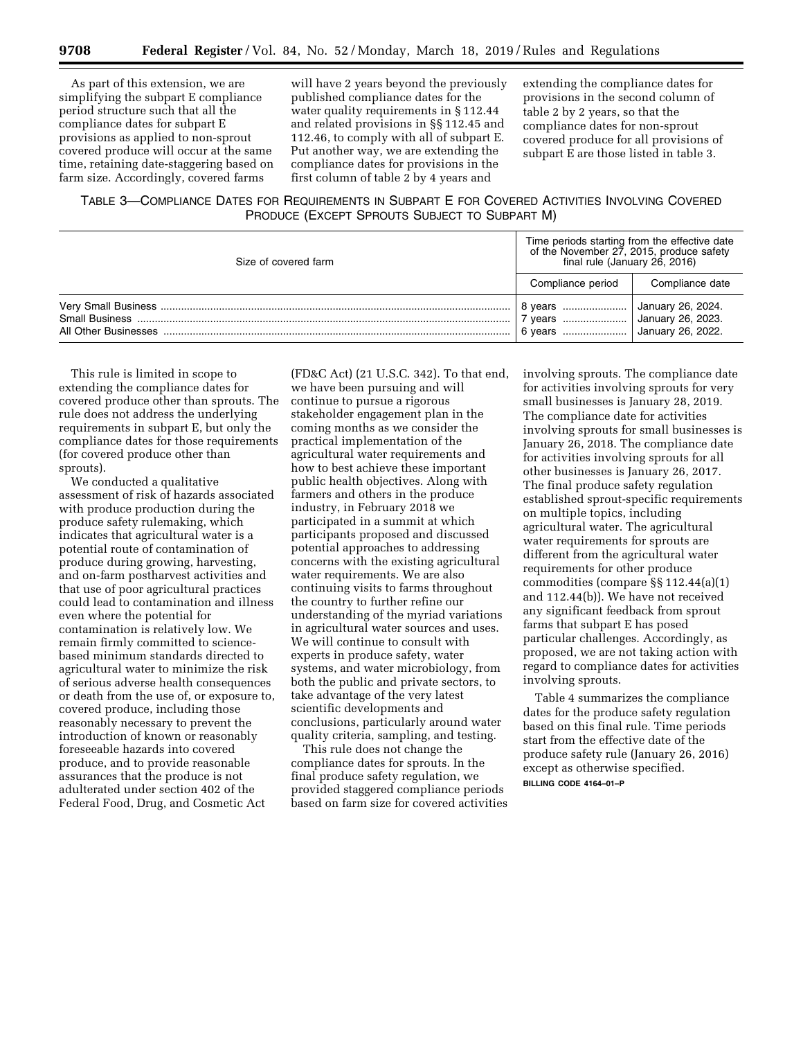As part of this extension, we are simplifying the subpart E compliance period structure such that all the compliance dates for subpart E provisions as applied to non-sprout covered produce will occur at the same time, retaining date-staggering based on farm size. Accordingly, covered farms

will have 2 years beyond the previously published compliance dates for the water quality requirements in § 112.44 and related provisions in §§ 112.45 and 112.46, to comply with all of subpart E. Put another way, we are extending the compliance dates for provisions in the first column of table 2 by 4 years and

extending the compliance dates for provisions in the second column of table 2 by 2 years, so that the compliance dates for non-sprout covered produce for all provisions of subpart E are those listed in table 3.

## TABLE 3—COMPLIANCE DATES FOR REQUIREMENTS IN SUBPART E FOR COVERED ACTIVITIES INVOLVING COVERED PRODUCE (EXCEPT SPROUTS SUBJECT TO SUBPART M)

| Size of covered farm | Time periods starting from the effective date<br>of the November 27, 2015, produce safety<br>final rule (January 26, 2016) |                                                             |  |  |
|----------------------|----------------------------------------------------------------------------------------------------------------------------|-------------------------------------------------------------|--|--|
|                      | Compliance period                                                                                                          | Compliance date                                             |  |  |
|                      | 8 years<br>6 years                                                                                                         | January 26, 2024.<br>January 26, 2023.<br>January 26, 2022. |  |  |

This rule is limited in scope to extending the compliance dates for covered produce other than sprouts. The rule does not address the underlying requirements in subpart E, but only the compliance dates for those requirements (for covered produce other than sprouts).

We conducted a qualitative assessment of risk of hazards associated with produce production during the produce safety rulemaking, which indicates that agricultural water is a potential route of contamination of produce during growing, harvesting, and on-farm postharvest activities and that use of poor agricultural practices could lead to contamination and illness even where the potential for contamination is relatively low. We remain firmly committed to sciencebased minimum standards directed to agricultural water to minimize the risk of serious adverse health consequences or death from the use of, or exposure to, covered produce, including those reasonably necessary to prevent the introduction of known or reasonably foreseeable hazards into covered produce, and to provide reasonable assurances that the produce is not adulterated under section 402 of the Federal Food, Drug, and Cosmetic Act

(FD&C Act) (21 U.S.C. 342). To that end, we have been pursuing and will continue to pursue a rigorous stakeholder engagement plan in the coming months as we consider the practical implementation of the agricultural water requirements and how to best achieve these important public health objectives. Along with farmers and others in the produce industry, in February 2018 we participated in a summit at which participants proposed and discussed potential approaches to addressing concerns with the existing agricultural water requirements. We are also continuing visits to farms throughout the country to further refine our understanding of the myriad variations in agricultural water sources and uses. We will continue to consult with experts in produce safety, water systems, and water microbiology, from both the public and private sectors, to take advantage of the very latest scientific developments and conclusions, particularly around water quality criteria, sampling, and testing.

This rule does not change the compliance dates for sprouts. In the final produce safety regulation, we provided staggered compliance periods based on farm size for covered activities involving sprouts. The compliance date for activities involving sprouts for very small businesses is January 28, 2019. The compliance date for activities involving sprouts for small businesses is January 26, 2018. The compliance date for activities involving sprouts for all other businesses is January 26, 2017. The final produce safety regulation established sprout-specific requirements on multiple topics, including agricultural water. The agricultural water requirements for sprouts are different from the agricultural water requirements for other produce commodities (compare §§ 112.44(a)(1) and 112.44(b)). We have not received any significant feedback from sprout farms that subpart E has posed particular challenges. Accordingly, as proposed, we are not taking action with regard to compliance dates for activities involving sprouts.

Table 4 summarizes the compliance dates for the produce safety regulation based on this final rule. Time periods start from the effective date of the produce safety rule (January 26, 2016) except as otherwise specified. **BILLING CODE 4164–01–P**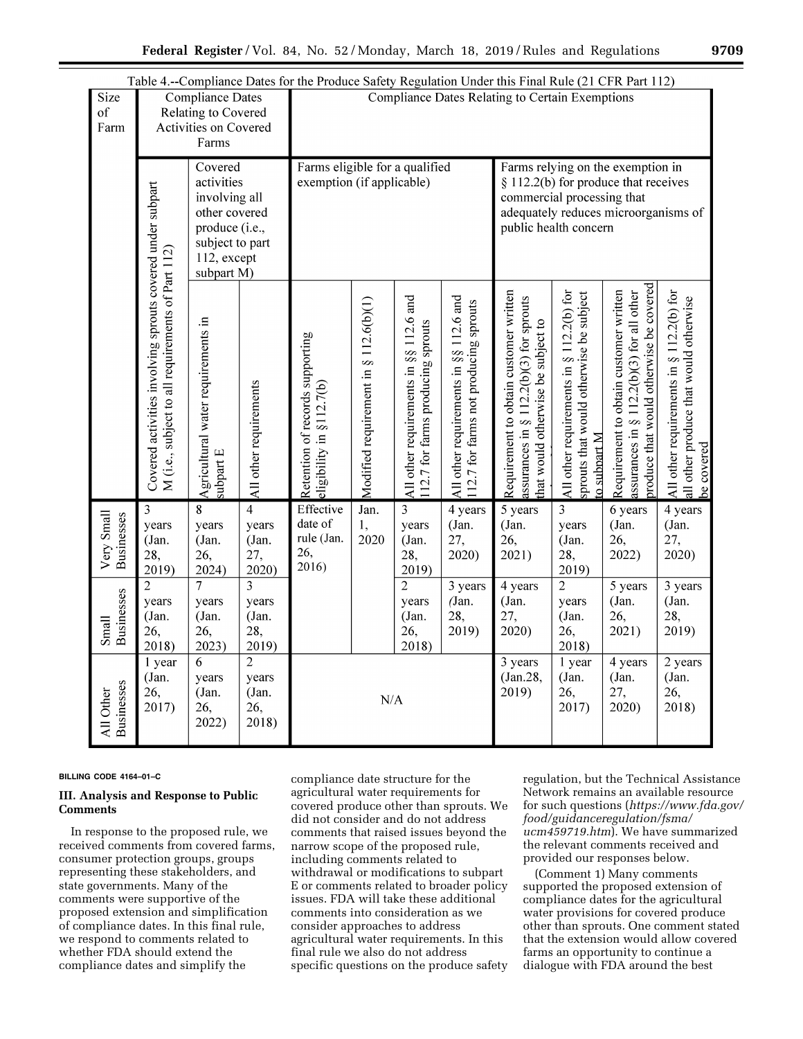|                                                                                                                           |                                                                                                                 |                                                                                  |                                                             | Table 4.--Compliance Dates for the Produce Safety Regulation Under this Final Rule (21 CFR Part 112) |                                       |                                                                                                                                                                            |                                                                                 |                                                                                                                          |                                                                                                    |                                                                                                                                  |                                                                                                  |
|---------------------------------------------------------------------------------------------------------------------------|-----------------------------------------------------------------------------------------------------------------|----------------------------------------------------------------------------------|-------------------------------------------------------------|------------------------------------------------------------------------------------------------------|---------------------------------------|----------------------------------------------------------------------------------------------------------------------------------------------------------------------------|---------------------------------------------------------------------------------|--------------------------------------------------------------------------------------------------------------------------|----------------------------------------------------------------------------------------------------|----------------------------------------------------------------------------------------------------------------------------------|--------------------------------------------------------------------------------------------------|
| Size<br>of<br>Farm                                                                                                        |                                                                                                                 | <b>Compliance Dates</b><br>Relating to Covered<br>Activities on Covered<br>Farms |                                                             | <b>Compliance Dates Relating to Certain Exemptions</b>                                               |                                       |                                                                                                                                                                            |                                                                                 |                                                                                                                          |                                                                                                    |                                                                                                                                  |                                                                                                  |
| Covered<br>activities<br>involving all<br>other covered<br>produce (i.e.,<br>subject to part<br>112, except<br>subpart M) |                                                                                                                 |                                                                                  | Farms eligible for a qualified<br>exemption (if applicable) |                                                                                                      |                                       | Farms relying on the exemption in<br>$§$ 112.2(b) for produce that receives<br>commercial processing that<br>adequately reduces microorganisms of<br>public health concern |                                                                                 |                                                                                                                          |                                                                                                    |                                                                                                                                  |                                                                                                  |
|                                                                                                                           | Covered activities involving sprouts covered under subpart<br>M (i.e., subject to all requirements of Part 112) | Agricultural water requirements in<br>subpart E                                  | All other requirements                                      | Retention of records supporting<br>eligibility in $\S$ 112.7(b)                                      | Modified requirement in § 112.6(b)(1) | All other requirements in §§ 112.6 and<br>112.7 for farms producing sprouts                                                                                                | All other requirements in §§ 112.6 and<br>112.7 for farms not producing sprouts | Requirement to obtain customer written<br>assurances in § $112.2(b)(3)$ for sprouts<br>hat would otherwise be subject to | All other requirements in § 112.2(b) for<br>sprouts that would otherwise be subject<br>o subpart M | produce that would otherwise be covered<br>Requirement to obtain customer written<br>assurances in § $112.2(b)(3)$ for all other | All other requirements in § 112.2(b) for<br>all other produce that would otherwise<br>be covered |
| Very Small<br><b>Businesses</b>                                                                                           | 3<br>years<br>(Jan.<br>28,<br>2019)                                                                             | 8<br>years<br>(Jan.<br>26,<br>2024)                                              | $\overline{4}$<br>years<br>(Jan.<br>27,<br>2020)            | Effective<br>date of<br>rule (Jan.<br>26,<br>2016)                                                   | Jan.<br>1,<br>2020                    | $\overline{\mathbf{3}}$<br>years<br>(Jan.<br>28,<br>2019)                                                                                                                  | 4 years<br>(Jan.<br>27,<br>2020)                                                | 5 years<br>(Jan.<br>26,<br>2021)                                                                                         | 3<br>years<br>(Jan.<br>28,<br>2019)                                                                | 6 years<br>(Jan.<br>26,<br>2022)                                                                                                 | 4 years<br>(Jan.<br>27,<br>2020)                                                                 |
| <b>Businesses</b><br>Small                                                                                                | $\overline{2}$<br>years<br>(Jan.<br>26,<br>2018)                                                                | $\overline{7}$<br>years<br>(Jan.<br>26,<br>2023)                                 | 3<br>years<br>(Jan.<br>28,<br>2019)                         |                                                                                                      |                                       | $\overline{2}$<br>years<br>(Jan.<br>26,<br>2018)                                                                                                                           | 3 years<br>(Jan.<br>28,<br>2019)                                                | 4 years<br>(Jan.<br>27,<br>2020)                                                                                         | $\overline{2}$<br>years<br>(Jan.<br>26,<br>2018)                                                   | 5 years<br>(Jan.<br>26,<br>2021)                                                                                                 | 3 years<br>(Jan.<br>28,<br>2019)                                                                 |
| <b>Businesses</b><br>All Other                                                                                            | 1 year<br>(Jan.<br>26,<br>2017)                                                                                 | 6<br>years<br>(Jan.<br>26,<br>2022)                                              | $\overline{2}$<br>years<br>(Jan.<br>26,<br>2018)            | N/A                                                                                                  |                                       |                                                                                                                                                                            | $\overline{3}$ years<br>(Jan.28,<br>2019)                                       | 1 year<br>(Jan.<br>26,<br>2017)                                                                                          | 4 years<br>(Jan.<br>27,<br>2020)                                                                   | $\overline{2}$ years<br>(Jan.<br>26,<br>2018)                                                                                    |                                                                                                  |

#### **BILLING CODE 4164–01–C**

## **III. Analysis and Response to Public Comments**

In response to the proposed rule, we received comments from covered farms, consumer protection groups, groups representing these stakeholders, and state governments. Many of the comments were supportive of the proposed extension and simplification of compliance dates. In this final rule, we respond to comments related to whether FDA should extend the compliance dates and simplify the

compliance date structure for the agricultural water requirements for covered produce other than sprouts. We did not consider and do not address comments that raised issues beyond the narrow scope of the proposed rule, including comments related to withdrawal or modifications to subpart E or comments related to broader policy issues. FDA will take these additional comments into consideration as we consider approaches to address agricultural water requirements. In this final rule we also do not address specific questions on the produce safety

regulation, but the Technical Assistance Network remains an available resource for such questions (*https://www.fda.gov/ food/guidanceregulation/fsma/ ucm459719.htm*). We have summarized the relevant comments received and provided our responses below.

(Comment 1) Many comments supported the proposed extension of compliance dates for the agricultural water provisions for covered produce other than sprouts. One comment stated that the extension would allow covered farms an opportunity to continue a dialogue with FDA around the best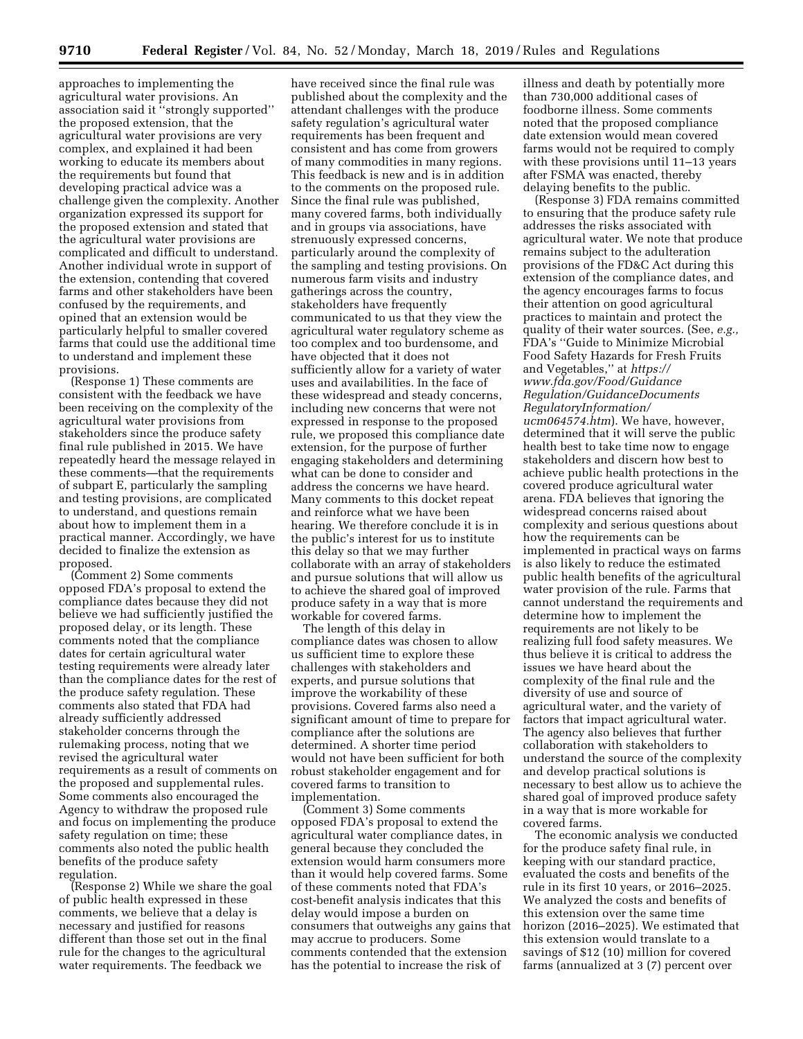approaches to implementing the agricultural water provisions. An association said it ''strongly supported'' the proposed extension, that the agricultural water provisions are very complex, and explained it had been working to educate its members about the requirements but found that developing practical advice was a challenge given the complexity. Another organization expressed its support for the proposed extension and stated that the agricultural water provisions are complicated and difficult to understand. Another individual wrote in support of the extension, contending that covered farms and other stakeholders have been confused by the requirements, and opined that an extension would be particularly helpful to smaller covered farms that could use the additional time to understand and implement these provisions.

(Response 1) These comments are consistent with the feedback we have been receiving on the complexity of the agricultural water provisions from stakeholders since the produce safety final rule published in 2015. We have repeatedly heard the message relayed in these comments—that the requirements of subpart E, particularly the sampling and testing provisions, are complicated to understand, and questions remain about how to implement them in a practical manner. Accordingly, we have decided to finalize the extension as proposed.

(Comment 2) Some comments opposed FDA's proposal to extend the compliance dates because they did not believe we had sufficiently justified the proposed delay, or its length. These comments noted that the compliance dates for certain agricultural water testing requirements were already later than the compliance dates for the rest of the produce safety regulation. These comments also stated that FDA had already sufficiently addressed stakeholder concerns through the rulemaking process, noting that we revised the agricultural water requirements as a result of comments on the proposed and supplemental rules. Some comments also encouraged the Agency to withdraw the proposed rule and focus on implementing the produce safety regulation on time; these comments also noted the public health benefits of the produce safety regulation.

(Response 2) While we share the goal of public health expressed in these comments, we believe that a delay is necessary and justified for reasons different than those set out in the final rule for the changes to the agricultural water requirements. The feedback we

have received since the final rule was published about the complexity and the attendant challenges with the produce safety regulation's agricultural water requirements has been frequent and consistent and has come from growers of many commodities in many regions. This feedback is new and is in addition to the comments on the proposed rule. Since the final rule was published, many covered farms, both individually and in groups via associations, have strenuously expressed concerns, particularly around the complexity of the sampling and testing provisions. On numerous farm visits and industry gatherings across the country, stakeholders have frequently communicated to us that they view the agricultural water regulatory scheme as too complex and too burdensome, and have objected that it does not sufficiently allow for a variety of water uses and availabilities. In the face of these widespread and steady concerns, including new concerns that were not expressed in response to the proposed rule, we proposed this compliance date extension, for the purpose of further engaging stakeholders and determining what can be done to consider and address the concerns we have heard. Many comments to this docket repeat and reinforce what we have been hearing. We therefore conclude it is in the public's interest for us to institute this delay so that we may further collaborate with an array of stakeholders and pursue solutions that will allow us to achieve the shared goal of improved produce safety in a way that is more workable for covered farms.

The length of this delay in compliance dates was chosen to allow us sufficient time to explore these challenges with stakeholders and experts, and pursue solutions that improve the workability of these provisions. Covered farms also need a significant amount of time to prepare for compliance after the solutions are determined. A shorter time period would not have been sufficient for both robust stakeholder engagement and for covered farms to transition to implementation.

(Comment 3) Some comments opposed FDA's proposal to extend the agricultural water compliance dates, in general because they concluded the extension would harm consumers more than it would help covered farms. Some of these comments noted that FDA's cost-benefit analysis indicates that this delay would impose a burden on consumers that outweighs any gains that may accrue to producers. Some comments contended that the extension has the potential to increase the risk of

illness and death by potentially more than 730,000 additional cases of foodborne illness. Some comments noted that the proposed compliance date extension would mean covered farms would not be required to comply with these provisions until 11–13 years after FSMA was enacted, thereby delaying benefits to the public.

(Response 3) FDA remains committed to ensuring that the produce safety rule addresses the risks associated with agricultural water. We note that produce remains subject to the adulteration provisions of the FD&C Act during this extension of the compliance dates, and the agency encourages farms to focus their attention on good agricultural practices to maintain and protect the quality of their water sources. (See, *e.g.,*  FDA's ''Guide to Minimize Microbial Food Safety Hazards for Fresh Fruits and Vegetables,'' at *https:// www.fda.gov/Food/Guidance Regulation/GuidanceDocuments RegulatoryInformation/ ucm064574.htm*). We have, however, determined that it will serve the public health best to take time now to engage stakeholders and discern how best to achieve public health protections in the covered produce agricultural water arena. FDA believes that ignoring the widespread concerns raised about complexity and serious questions about how the requirements can be implemented in practical ways on farms is also likely to reduce the estimated public health benefits of the agricultural water provision of the rule. Farms that cannot understand the requirements and determine how to implement the requirements are not likely to be realizing full food safety measures. We thus believe it is critical to address the issues we have heard about the complexity of the final rule and the diversity of use and source of agricultural water, and the variety of factors that impact agricultural water. The agency also believes that further collaboration with stakeholders to understand the source of the complexity and develop practical solutions is necessary to best allow us to achieve the shared goal of improved produce safety in a way that is more workable for covered farms.

The economic analysis we conducted for the produce safety final rule, in keeping with our standard practice, evaluated the costs and benefits of the rule in its first 10 years, or 2016–2025. We analyzed the costs and benefits of this extension over the same time horizon (2016–2025). We estimated that this extension would translate to a savings of \$12 (10) million for covered farms (annualized at 3 (7) percent over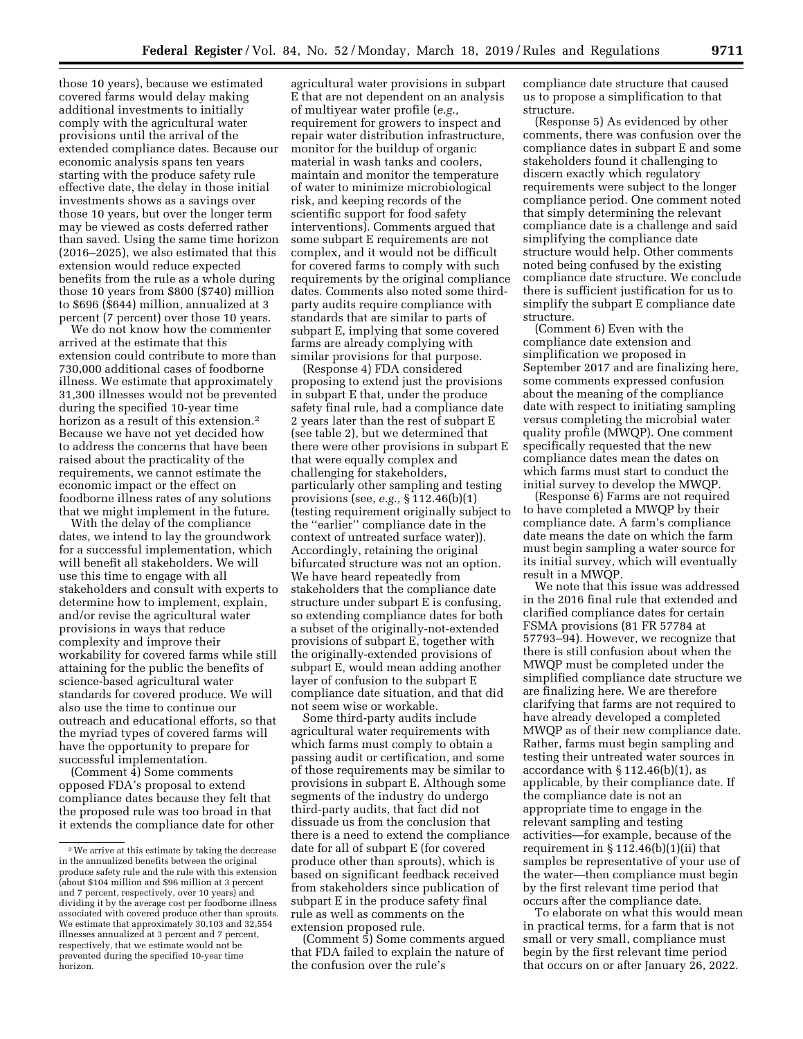those 10 years), because we estimated covered farms would delay making additional investments to initially comply with the agricultural water provisions until the arrival of the extended compliance dates. Because our economic analysis spans ten years starting with the produce safety rule effective date, the delay in those initial investments shows as a savings over those 10 years, but over the longer term may be viewed as costs deferred rather than saved. Using the same time horizon (2016–2025), we also estimated that this extension would reduce expected benefits from the rule as a whole during those 10 years from \$800 (\$740) million to \$696 (\$644) million, annualized at 3

percent (7 percent) over those 10 years. We do not know how the commenter arrived at the estimate that this extension could contribute to more than 730,000 additional cases of foodborne illness. We estimate that approximately 31,300 illnesses would not be prevented during the specified 10-year time horizon as a result of this extension.<sup>2</sup> Because we have not yet decided how to address the concerns that have been raised about the practicality of the requirements, we cannot estimate the economic impact or the effect on foodborne illness rates of any solutions that we might implement in the future.

With the delay of the compliance dates, we intend to lay the groundwork for a successful implementation, which will benefit all stakeholders. We will use this time to engage with all stakeholders and consult with experts to determine how to implement, explain, and/or revise the agricultural water provisions in ways that reduce complexity and improve their workability for covered farms while still attaining for the public the benefits of science-based agricultural water standards for covered produce. We will also use the time to continue our outreach and educational efforts, so that the myriad types of covered farms will have the opportunity to prepare for successful implementation.

(Comment 4) Some comments opposed FDA's proposal to extend compliance dates because they felt that the proposed rule was too broad in that it extends the compliance date for other

agricultural water provisions in subpart E that are not dependent on an analysis of multiyear water profile (*e.g.,*  requirement for growers to inspect and repair water distribution infrastructure, monitor for the buildup of organic material in wash tanks and coolers, maintain and monitor the temperature of water to minimize microbiological risk, and keeping records of the scientific support for food safety interventions). Comments argued that some subpart E requirements are not complex, and it would not be difficult for covered farms to comply with such requirements by the original compliance dates. Comments also noted some thirdparty audits require compliance with standards that are similar to parts of subpart E, implying that some covered farms are already complying with similar provisions for that purpose.

(Response 4) FDA considered proposing to extend just the provisions in subpart E that, under the produce safety final rule, had a compliance date 2 years later than the rest of subpart E (see table 2), but we determined that there were other provisions in subpart E that were equally complex and challenging for stakeholders, particularly other sampling and testing provisions (see, *e.g.,* § 112.46(b)(1) (testing requirement originally subject to the ''earlier'' compliance date in the context of untreated surface water)). Accordingly, retaining the original bifurcated structure was not an option. We have heard repeatedly from stakeholders that the compliance date structure under subpart E is confusing, so extending compliance dates for both a subset of the originally-not-extended provisions of subpart E, together with the originally-extended provisions of subpart E, would mean adding another layer of confusion to the subpart E compliance date situation, and that did not seem wise or workable.

Some third-party audits include agricultural water requirements with which farms must comply to obtain a passing audit or certification, and some of those requirements may be similar to provisions in subpart E. Although some segments of the industry do undergo third-party audits, that fact did not dissuade us from the conclusion that there is a need to extend the compliance date for all of subpart E (for covered produce other than sprouts), which is based on significant feedback received from stakeholders since publication of subpart E in the produce safety final rule as well as comments on the extension proposed rule.

(Comment 5) Some comments argued that FDA failed to explain the nature of the confusion over the rule's

compliance date structure that caused us to propose a simplification to that structure.

(Response 5) As evidenced by other comments, there was confusion over the compliance dates in subpart E and some stakeholders found it challenging to discern exactly which regulatory requirements were subject to the longer compliance period. One comment noted that simply determining the relevant compliance date is a challenge and said simplifying the compliance date structure would help. Other comments noted being confused by the existing compliance date structure. We conclude there is sufficient justification for us to simplify the subpart E compliance date structure.

(Comment 6) Even with the compliance date extension and simplification we proposed in September 2017 and are finalizing here, some comments expressed confusion about the meaning of the compliance date with respect to initiating sampling versus completing the microbial water quality profile (MWQP). One comment specifically requested that the new compliance dates mean the dates on which farms must start to conduct the initial survey to develop the MWQP.

(Response 6) Farms are not required to have completed a MWQP by their compliance date. A farm's compliance date means the date on which the farm must begin sampling a water source for its initial survey, which will eventually result in a MWQP.

We note that this issue was addressed in the 2016 final rule that extended and clarified compliance dates for certain FSMA provisions (81 FR 57784 at 57793–94). However, we recognize that there is still confusion about when the MWQP must be completed under the simplified compliance date structure we are finalizing here. We are therefore clarifying that farms are not required to have already developed a completed MWQP as of their new compliance date. Rather, farms must begin sampling and testing their untreated water sources in accordance with  $\S 112.46(b)(1)$ , as applicable, by their compliance date. If the compliance date is not an appropriate time to engage in the relevant sampling and testing activities—for example, because of the requirement in § 112.46(b)(1)(ii) that samples be representative of your use of the water—then compliance must begin by the first relevant time period that occurs after the compliance date.

To elaborate on what this would mean in practical terms, for a farm that is not small or very small, compliance must begin by the first relevant time period that occurs on or after January 26, 2022.

<sup>2</sup>We arrive at this estimate by taking the decrease in the annualized benefits between the original produce safety rule and the rule with this extension (about \$104 million and \$96 million at 3 percent and 7 percent, respectively, over 10 years) and dividing it by the average cost per foodborne illness associated with covered produce other than sprouts. We estimate that approximately 30,103 and 32,554 illnesses annualized at 3 percent and 7 percent, respectively, that we estimate would not be prevented during the specified 10-year time horizon.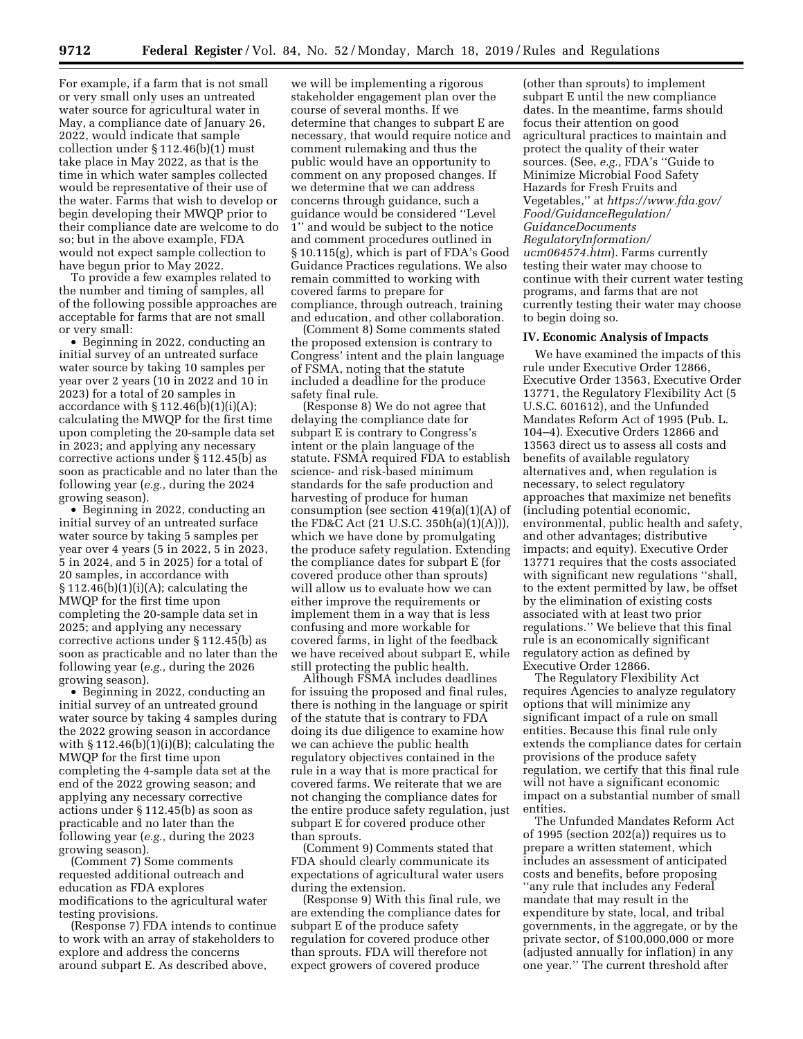For example, if a farm that is not small or very small only uses an untreated water source for agricultural water in May, a compliance date of January 26, 2022, would indicate that sample collection under § 112.46(b)(1) must take place in May 2022, as that is the time in which water samples collected would be representative of their use of the water. Farms that wish to develop or begin developing their MWQP prior to their compliance date are welcome to do so; but in the above example, FDA would not expect sample collection to have begun prior to May 2022.

To provide a few examples related to the number and timing of samples, all of the following possible approaches are acceptable for farms that are not small or very small:

• Beginning in 2022, conducting an initial survey of an untreated surface water source by taking 10 samples per year over 2 years (10 in 2022 and 10 in 2023) for a total of 20 samples in accordance with  $\S 112.46(b)(1)(i)(A);$ calculating the MWQP for the first time upon completing the 20-sample data set in 2023; and applying any necessary corrective actions under § 112.45(b) as soon as practicable and no later than the following year (*e.g.,* during the 2024 growing season).

• Beginning in 2022, conducting an initial survey of an untreated surface water source by taking 5 samples per year over 4 years (5 in 2022, 5 in 2023, 5 in 2024, and 5 in 2025) for a total of 20 samples, in accordance with  $\S 112.46(b)(1)(i)(A);$  calculating the MWQP for the first time upon completing the 20-sample data set in 2025; and applying any necessary corrective actions under § 112.45(b) as soon as practicable and no later than the following year (*e.g.,* during the 2026 growing season).

• Beginning in 2022, conducting an initial survey of an untreated ground water source by taking 4 samples during the 2022 growing season in accordance with  $\S 112.46(b)(1)(i)(B)$ ; calculating the MWQP for the first time upon completing the 4-sample data set at the end of the 2022 growing season; and applying any necessary corrective actions under § 112.45(b) as soon as practicable and no later than the following year (*e.g.,* during the 2023 growing season).

(Comment 7) Some comments requested additional outreach and education as FDA explores modifications to the agricultural water testing provisions.

(Response 7) FDA intends to continue to work with an array of stakeholders to explore and address the concerns around subpart E. As described above,

we will be implementing a rigorous stakeholder engagement plan over the course of several months. If we determine that changes to subpart E are necessary, that would require notice and comment rulemaking and thus the public would have an opportunity to comment on any proposed changes. If we determine that we can address concerns through guidance, such a guidance would be considered ''Level 1'' and would be subject to the notice and comment procedures outlined in § 10.115(g), which is part of FDA's Good Guidance Practices regulations. We also remain committed to working with covered farms to prepare for compliance, through outreach, training and education, and other collaboration.

(Comment 8) Some comments stated the proposed extension is contrary to Congress' intent and the plain language of FSMA, noting that the statute included a deadline for the produce safety final rule.

(Response 8) We do not agree that delaying the compliance date for subpart E is contrary to Congress's intent or the plain language of the statute. FSMA required FDA to establish science- and risk-based minimum standards for the safe production and harvesting of produce for human consumption (see section 419(a)(1)(A) of the FD&C Act (21 U.S.C. 350h(a)(1)(A))), which we have done by promulgating the produce safety regulation. Extending the compliance dates for subpart E (for covered produce other than sprouts) will allow us to evaluate how we can either improve the requirements or implement them in a way that is less confusing and more workable for covered farms, in light of the feedback we have received about subpart E, while still protecting the public health.

Although FSMA includes deadlines for issuing the proposed and final rules, there is nothing in the language or spirit of the statute that is contrary to FDA doing its due diligence to examine how we can achieve the public health regulatory objectives contained in the rule in a way that is more practical for covered farms. We reiterate that we are not changing the compliance dates for the entire produce safety regulation, just subpart E for covered produce other than sprouts.

(Comment 9) Comments stated that FDA should clearly communicate its expectations of agricultural water users during the extension.

(Response 9) With this final rule, we are extending the compliance dates for subpart E of the produce safety regulation for covered produce other than sprouts. FDA will therefore not expect growers of covered produce

(other than sprouts) to implement subpart E until the new compliance dates. In the meantime, farms should focus their attention on good agricultural practices to maintain and protect the quality of their water sources. (See, *e.g.,* FDA's ''Guide to Minimize Microbial Food Safety Hazards for Fresh Fruits and Vegetables,'' at *https://www.fda.gov/ Food/GuidanceRegulation/ GuidanceDocuments RegulatoryInformation/ ucm064574.htm*). Farms currently testing their water may choose to continue with their current water testing programs, and farms that are not currently testing their water may choose to begin doing so.

#### **IV. Economic Analysis of Impacts**

We have examined the impacts of this rule under Executive Order 12866, Executive Order 13563, Executive Order 13771, the Regulatory Flexibility Act (5 U.S.C. 601612), and the Unfunded Mandates Reform Act of 1995 (Pub. L. 104–4). Executive Orders 12866 and 13563 direct us to assess all costs and benefits of available regulatory alternatives and, when regulation is necessary, to select regulatory approaches that maximize net benefits (including potential economic, environmental, public health and safety, and other advantages; distributive impacts; and equity). Executive Order 13771 requires that the costs associated with significant new regulations ''shall, to the extent permitted by law, be offset by the elimination of existing costs associated with at least two prior regulations.'' We believe that this final rule is an economically significant regulatory action as defined by Executive Order 12866.

The Regulatory Flexibility Act requires Agencies to analyze regulatory options that will minimize any significant impact of a rule on small entities. Because this final rule only extends the compliance dates for certain provisions of the produce safety regulation, we certify that this final rule will not have a significant economic impact on a substantial number of small entities.

The Unfunded Mandates Reform Act of 1995 (section 202(a)) requires us to prepare a written statement, which includes an assessment of anticipated costs and benefits, before proposing ''any rule that includes any Federal mandate that may result in the expenditure by state, local, and tribal governments, in the aggregate, or by the private sector, of \$100,000,000 or more (adjusted annually for inflation) in any one year.'' The current threshold after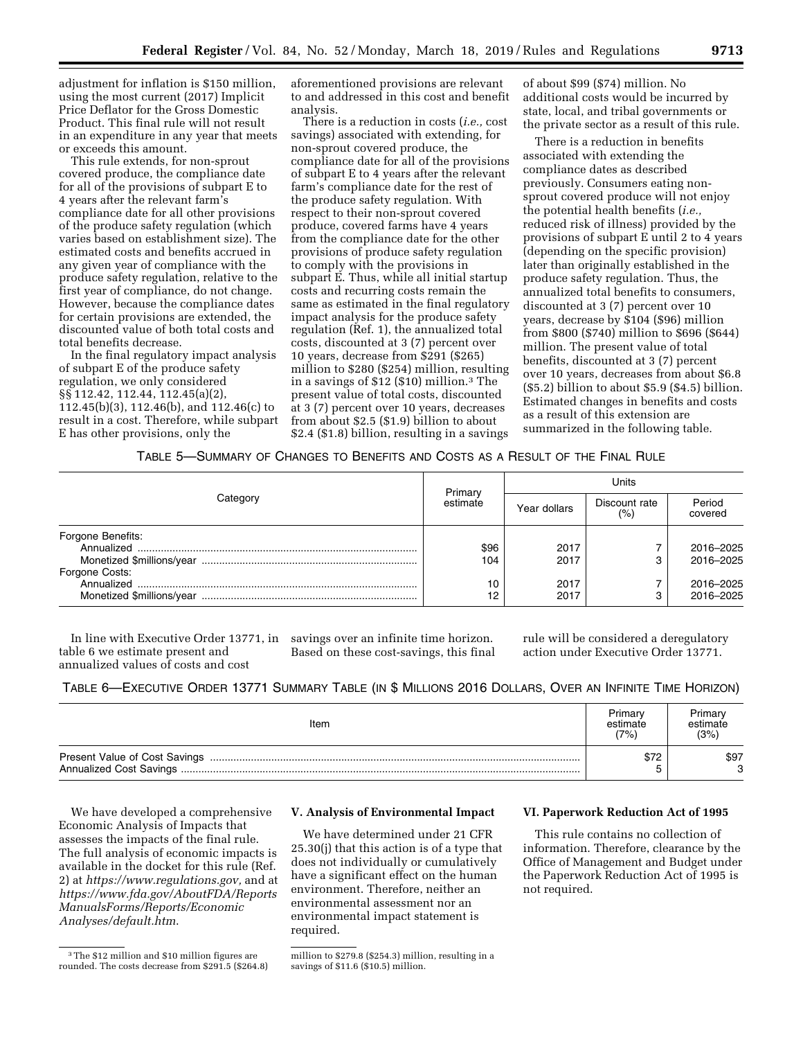adjustment for inflation is \$150 million, using the most current (2017) Implicit Price Deflator for the Gross Domestic Product. This final rule will not result in an expenditure in any year that meets or exceeds this amount.

This rule extends, for non-sprout covered produce, the compliance date for all of the provisions of subpart E to 4 years after the relevant farm's compliance date for all other provisions of the produce safety regulation (which varies based on establishment size). The estimated costs and benefits accrued in any given year of compliance with the produce safety regulation, relative to the first year of compliance, do not change. However, because the compliance dates for certain provisions are extended, the discounted value of both total costs and total benefits decrease.

In the final regulatory impact analysis of subpart E of the produce safety regulation, we only considered §§ 112.42, 112.44, 112.45(a)(2), 112.45(b)(3), 112.46(b), and 112.46(c) to result in a cost. Therefore, while subpart E has other provisions, only the

aforementioned provisions are relevant to and addressed in this cost and benefit analysis.

There is a reduction in costs (*i.e.,* cost savings) associated with extending, for non-sprout covered produce, the compliance date for all of the provisions of subpart E to 4 years after the relevant farm's compliance date for the rest of the produce safety regulation. With respect to their non-sprout covered produce, covered farms have 4 years from the compliance date for the other provisions of produce safety regulation to comply with the provisions in subpart E. Thus, while all initial startup costs and recurring costs remain the same as estimated in the final regulatory impact analysis for the produce safety regulation (Ref. 1), the annualized total costs, discounted at 3 (7) percent over 10 years, decrease from \$291 (\$265) million to \$280 (\$254) million, resulting in a savings of \$12 (\$10) million.3 The present value of total costs, discounted at 3 (7) percent over 10 years, decreases from about \$2.5 (\$1.9) billion to about \$2.4 (\$1.8) billion, resulting in a savings

of about \$99 (\$74) million. No additional costs would be incurred by state, local, and tribal governments or the private sector as a result of this rule.

There is a reduction in benefits associated with extending the compliance dates as described previously. Consumers eating nonsprout covered produce will not enjoy the potential health benefits (*i.e.,*  reduced risk of illness) provided by the provisions of subpart E until 2 to 4 years (depending on the specific provision) later than originally established in the produce safety regulation. Thus, the annualized total benefits to consumers, discounted at 3 (7) percent over 10 years, decrease by \$104 (\$96) million from \$800 (\$740) million to \$696 (\$644) million. The present value of total benefits, discounted at 3 (7) percent over 10 years, decreases from about \$6.8 (\$5.2) billion to about \$5.9 (\$4.5) billion. Estimated changes in benefits and costs as a result of this extension are summarized in the following table.

## TABLE 5—SUMMARY OF CHANGES TO BENEFITS AND COSTS AS A RESULT OF THE FINAL RULE

|                                                           |                     | Units        |                      |                        |  |
|-----------------------------------------------------------|---------------------|--------------|----------------------|------------------------|--|
| Category                                                  | Primary<br>estimate | Year dollars | Discount rate<br>(%) | Period<br>covered      |  |
| Forgone Benefits:                                         | \$96<br>104         | 2017<br>2017 |                      | 2016-2025<br>2016-2025 |  |
| Forgone Costs:<br>Annualized<br>Monetized \$millions/year | 10<br>12            | 2017<br>2017 |                      | 2016-2025<br>2016-2025 |  |

table 6 we estimate present and annualized values of costs and cost

In line with Executive Order 13771, in savings over an infinite time horizon. Based on these cost-savings, this final rule will be considered a deregulatory action under Executive Order 13771.

## TABLE 6—EXECUTIVE ORDER 13771 SUMMARY TABLE (IN \$ MILLIONS 2016 DOLLARS, OVER AN INFINITE TIME HORIZON)

| Item | Primary<br>estimate<br>(7%) | Primarv<br>estimate<br>(3%) |
|------|-----------------------------|-----------------------------|
|      | \$72                        | \$97<br>C                   |

We have developed a comprehensive Economic Analysis of Impacts that assesses the impacts of the final rule. The full analysis of economic impacts is available in the docket for this rule (Ref. 2) at *https://www.regulations.gov,* and at *https://www.fda.gov/AboutFDA/Reports ManualsForms/Reports/Economic Analyses/default.htm*.

## **V. Analysis of Environmental Impact**

We have determined under 21 CFR 25.30(j) that this action is of a type that does not individually or cumulatively have a significant effect on the human environment. Therefore, neither an environmental assessment nor an environmental impact statement is required.

This rule contains no collection of information. Therefore, clearance by the Office of Management and Budget under the Paperwork Reduction Act of 1995 is not required.

<sup>3</sup>The \$12 million and \$10 million figures are rounded. The costs decrease from \$291.5 (\$264.8)

**VI. Paperwork Reduction Act of 1995** 

million to \$279.8 (\$254.3) million, resulting in a savings of \$11.6 (\$10.5) million.